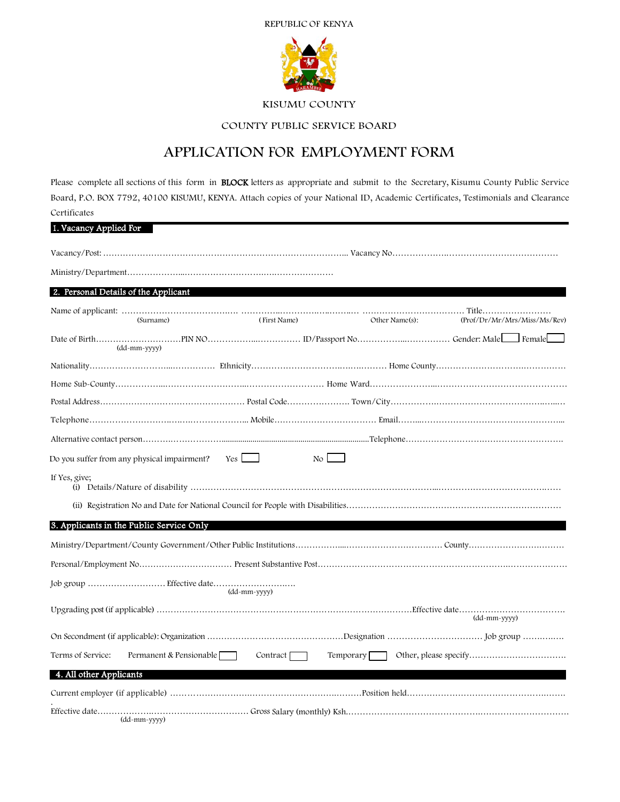# REPUBLIC OF KENYA



## KISUMU COUNTY

# COUNTY PUBLIC SERVICE BOARD

# APPLICATION FOR EMPLOYMENT FORM

Please complete all sections of this form in **BLOCK** letters as appropriate and submit to the Secretary, Kisumu County Public Service Board, P.O. BOX 7792, 40100 KISUMU, KENYA. Attach copies of your National ID, Academic Certificates, Testimonials and Clearance Certificates

| 1. Vacancy Applied For                       |                 |                      |                              |
|----------------------------------------------|-----------------|----------------------|------------------------------|
|                                              |                 |                      |                              |
|                                              |                 |                      |                              |
| 2. Personal Details of the Applicant         |                 |                      |                              |
| (Surname)                                    | (First Name)    | Other Name(s):       | (Prof/Dr/Mr/Mrs/Miss/Ms/Rev) |
| (dd-mm-yyyy)                                 |                 |                      |                              |
|                                              |                 |                      |                              |
|                                              |                 |                      |                              |
|                                              |                 |                      |                              |
|                                              |                 |                      |                              |
|                                              |                 |                      |                              |
| Do you suffer from any physical impairment?  | Yes             | $\mathbb{N}^{\circ}$ |                              |
| If Yes, give;                                |                 |                      |                              |
|                                              |                 |                      |                              |
| 3. Applicants in the Public Service Only     |                 |                      |                              |
|                                              |                 |                      |                              |
|                                              |                 |                      |                              |
|                                              | (dd-mm-yyyy)    |                      |                              |
|                                              |                 |                      | (dd-mm-yyyy)                 |
|                                              |                 |                      |                              |
| Terms of Service:<br>Permanent & Pensionable | Contract $\Box$ | Temporary            |                              |
| 4. All other Applicants                      |                 |                      |                              |
|                                              |                 |                      |                              |
| (dd-mm-yyyy)                                 |                 |                      |                              |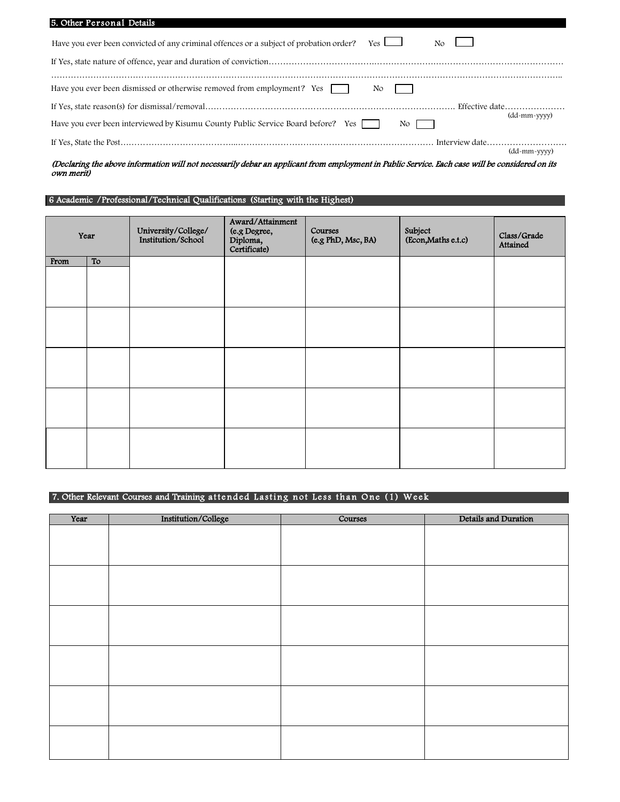| 5. Other Personal Details                                                                                        |              |
|------------------------------------------------------------------------------------------------------------------|--------------|
| Have you ever been convicted of any criminal offences or a subject of probation order?<br>$Yes \perp$<br>No.     |              |
|                                                                                                                  |              |
| Have you ever been dismissed or otherwise removed from employment? Yes<br>No.                                    |              |
| Have you ever been interviewed by Kisumu County Public Service Board before? Yes<br>$\overline{N_{\mathcal{O}}}$ | (dd-mm-yyyy) |
|                                                                                                                  |              |
|                                                                                                                  | (dd-mm-yyyy) |

(Declaring the above information will not necessarily debar an applicant from employment in Public Service. Each case will be considered on its own merit)

# 6 Academic /Professional/Technical Qualifications (Starting with the Highest)

|      | Year | University/College/<br>Institution/School | Award/Attainment<br>(e.g Degree,<br>Diploma,<br>Certificate) | Courses<br>(e.g PhD, Msc, BA) | Subject<br>(Econ,Maths e.t.c) | Class/Grade<br>Attained |
|------|------|-------------------------------------------|--------------------------------------------------------------|-------------------------------|-------------------------------|-------------------------|
| From | To   |                                           |                                                              |                               |                               |                         |
|      |      |                                           |                                                              |                               |                               |                         |
|      |      |                                           |                                                              |                               |                               |                         |
|      |      |                                           |                                                              |                               |                               |                         |
|      |      |                                           |                                                              |                               |                               |                         |
|      |      |                                           |                                                              |                               |                               |                         |

# 7. Other Relevant Courses and Training attended Lasting not Less than One (1) Week

| Year | Institution/College | Courses | Details and Duration |
|------|---------------------|---------|----------------------|
|      |                     |         |                      |
|      |                     |         |                      |
|      |                     |         |                      |
|      |                     |         |                      |
|      |                     |         |                      |
|      |                     |         |                      |
|      |                     |         |                      |
|      |                     |         |                      |
|      |                     |         |                      |
|      |                     |         |                      |
|      |                     |         |                      |
|      |                     |         |                      |
|      |                     |         |                      |
|      |                     |         |                      |
|      |                     |         |                      |
|      |                     |         |                      |
|      |                     |         |                      |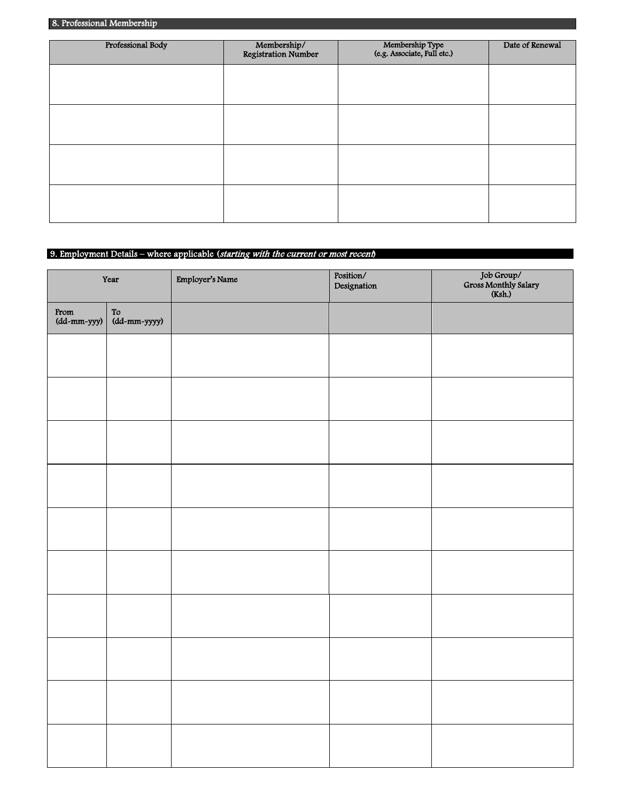| Professional Body | Membership/<br>Registration Number | Membership Type<br>(e.g. Associate, Full etc.) | Date of Renewal |
|-------------------|------------------------------------|------------------------------------------------|-----------------|
|                   |                                    |                                                |                 |
|                   |                                    |                                                |                 |
|                   |                                    |                                                |                 |
|                   |                                    |                                                |                 |
|                   |                                    |                                                |                 |
|                   |                                    |                                                |                 |

## 9. Employment Details – where applicable (starting with the current or most recent)

|                     | Year               | Employer's Name | Position/<br>Designation | Job Group/<br>Gross Monthly Salary<br>(Ksh.) |
|---------------------|--------------------|-----------------|--------------------------|----------------------------------------------|
| From<br>(dd-mm-yyy) | To<br>(dd-mm-yyyy) |                 |                          |                                              |
|                     |                    |                 |                          |                                              |
|                     |                    |                 |                          |                                              |
|                     |                    |                 |                          |                                              |
|                     |                    |                 |                          |                                              |
|                     |                    |                 |                          |                                              |
|                     |                    |                 |                          |                                              |
|                     |                    |                 |                          |                                              |
|                     |                    |                 |                          |                                              |
|                     |                    |                 |                          |                                              |
|                     |                    |                 |                          |                                              |